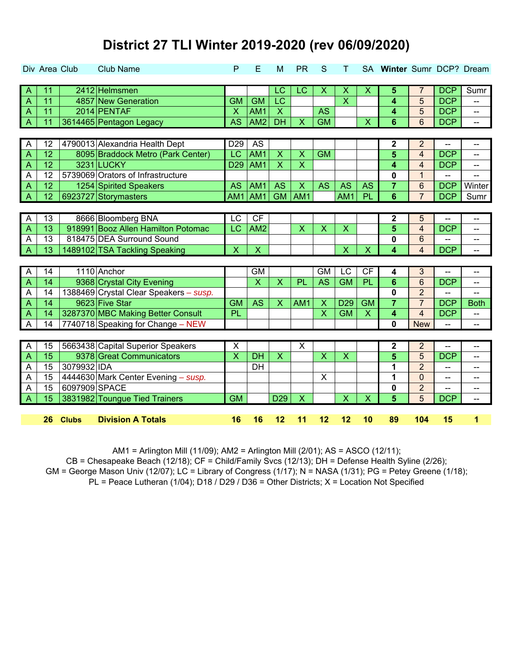|                | Div Area Club |               | <b>Club Name</b>                       | P                       | Е                         | M                       | <b>PR</b>                 | S                         | т                         |                           | SA Winter Sumr DCP? Dream |                         |            |                |
|----------------|---------------|---------------|----------------------------------------|-------------------------|---------------------------|-------------------------|---------------------------|---------------------------|---------------------------|---------------------------|---------------------------|-------------------------|------------|----------------|
|                |               |               |                                        |                         |                           |                         |                           |                           |                           |                           |                           |                         |            |                |
| $\mathsf{A}$   | 11            |               | 2412 Helmsmen                          |                         |                           | LC                      | $\overline{\text{LC}}$    | X                         | X                         | X                         | 5                         | 7                       | <b>DCP</b> | Sumr           |
| $\overline{A}$ | 11            |               | 4857 New Generation                    | <b>GM</b>               | <b>GM</b>                 | $\overline{LC}$         |                           |                           | $\overline{\mathsf{x}}$   |                           | 4                         | 5                       | <b>DCP</b> | --             |
| $\overline{A}$ | 11            |               | 2014 PENTAF                            | $\sf X$                 | AM <sub>1</sub>           | $\overline{\mathsf{x}}$ |                           | <b>AS</b>                 |                           |                           | 4                         | 5                       | <b>DCP</b> | --             |
| $\overline{A}$ | 11            |               | 3614465 Pentagon Legacy                | <b>AS</b>               | AM <sub>2</sub>           | <b>DH</b>               | $\mathsf{X}$              | <b>GM</b>                 |                           | X                         | 6                         | 6                       | <b>DCP</b> | $\overline{a}$ |
|                |               |               |                                        |                         |                           |                         |                           |                           |                           |                           |                           |                         |            |                |
| $\overline{A}$ | 12            |               | 4790013 Alexandria Health Dept         | D <sub>29</sub>         | <b>AS</b>                 |                         |                           |                           |                           |                           | 2                         | $\overline{2}$          |            | --             |
| $\overline{A}$ | 12            |               | 8095 Braddock Metro (Park Center)      | LC                      | AM1                       | $\pmb{\mathsf{X}}$      | $\mathsf{X}$              | <b>GM</b>                 |                           |                           | 5                         | $\overline{4}$          | <b>DCP</b> |                |
| $\overline{A}$ | 12            |               | 3231 LUCKY                             | D <sub>29</sub>         | AM <sub>1</sub>           | $\overline{\mathsf{x}}$ | $\overline{\mathsf{x}}$   |                           |                           |                           | 4                         | $\overline{4}$          | <b>DCP</b> | --             |
| A              | 12            |               | 5739069 Orators of Infrastructure      |                         |                           |                         |                           |                           |                           |                           | 0                         | $\overline{1}$          | --         | $\overline{a}$ |
| $\overline{A}$ | 12            |               | 1254 Spirited Speakers                 | <b>AS</b>               | AM <sub>1</sub>           | <b>AS</b>               | $\sf X$                   | <b>AS</b>                 | <b>AS</b>                 | <b>AS</b>                 | $\overline{7}$            | 6                       | <b>DCP</b> | Winter         |
| $\overline{A}$ | 12            |               | 6923727 Storymasters                   | AM1                     | AM1                       | <b>GM</b>               | AM <sub>1</sub>           |                           | AM1                       | PL                        | 6                         | $\overline{7}$          | <b>DCP</b> | Sumr           |
|                |               |               |                                        |                         |                           |                         |                           |                           |                           |                           |                           |                         |            |                |
| $\overline{A}$ | 13            |               | 8666 Bloomberg BNA                     | $\overline{LC}$         | CF                        |                         |                           |                           |                           |                           | 2                         | 5                       |            | --             |
| $\overline{A}$ | 13            |               | 918991 Booz Allen Hamilton Potomac     | LC                      | AM <sub>2</sub>           |                         | $\boldsymbol{\mathsf{X}}$ | $\mathsf X$               | $\boldsymbol{\mathsf{X}}$ |                           | 5                         | $\overline{\mathbf{4}}$ | <b>DCP</b> | --             |
| A              | 13            |               | 818475 DEA Surround Sound              |                         |                           |                         |                           |                           |                           |                           | 0                         | 6                       |            | --             |
| $\overline{A}$ | 13            |               | 1489102 TSA Tackling Speaking          | $\overline{\mathsf{X}}$ | $\overline{\mathsf{x}}$   |                         |                           |                           | $\overline{\mathsf{X}}$   | $\overline{\mathsf{X}}$   | 4                         | $\overline{4}$          | <b>DCP</b> | --             |
|                |               |               |                                        |                         |                           |                         |                           |                           |                           |                           |                           |                         |            |                |
| $\overline{A}$ | 14            |               | 1110 Anchor                            |                         | $\overline{GM}$           |                         |                           | <b>GM</b>                 | $\overline{LC}$           | CF                        | 4                         | 3                       | --         | --             |
| A              | 14            |               | 9368 Crystal City Evening              |                         | $\boldsymbol{\mathsf{X}}$ | $\mathsf{X}$            | PL                        | <b>AS</b>                 | <b>GM</b>                 | PL                        | 6                         | $6\phantom{1}6$         | <b>DCP</b> | --             |
| A              | 14            |               | 1388469 Crystal Clear Speakers - susp. |                         |                           |                         |                           |                           |                           |                           | 0                         | $\overline{2}$          | --         | --             |
| $\overline{A}$ | 14            |               | 9623 Five Star                         | <b>GM</b>               | <b>AS</b>                 | $\overline{\mathsf{X}}$ | AM <sub>1</sub>           | $\overline{\mathsf{X}}$   | D <sub>29</sub>           | <b>GM</b>                 | $\overline{7}$            | $\overline{7}$          | <b>DCP</b> | <b>Both</b>    |
| $\overline{A}$ | 14            |               | 3287370 MBC Making Better Consult      | PL                      |                           |                         |                           | $\overline{\mathsf{x}}$   | <b>GM</b>                 | $\boldsymbol{\mathsf{X}}$ | 4                         | $\overline{\mathbf{4}}$ | <b>DCP</b> | --             |
| $\overline{A}$ | 14            |               | 7740718 Speaking for Change - NEW      |                         |                           |                         |                           |                           |                           |                           | 0                         | <b>New</b>              | --         | --             |
|                |               |               |                                        |                         |                           |                         |                           |                           |                           |                           |                           |                         |            |                |
| $\overline{A}$ | 15            |               | 5663438 Capital Superior Speakers      | $\overline{\mathsf{x}}$ |                           |                         | $\overline{\mathsf{x}}$   |                           |                           |                           | $\mathbf 2$               | $\overline{2}$          |            | --             |
| $\Lambda$      | 15            |               | 9378 Great Communicators               | $\overline{\mathsf{X}}$ | <b>DH</b>                 | $\overline{X}$          |                           | $\overline{\mathsf{X}}$   | $\overline{\mathsf{X}}$   |                           | 5                         | 5                       | <b>DCP</b> | --             |
| A              | 15            | 3079932 IDA   |                                        |                         | <b>DH</b>                 |                         |                           |                           |                           |                           | 1                         | $\overline{2}$          | --         | --             |
| A              | 15            |               | 4444630 Mark Center Evening - susp.    |                         |                           |                         |                           | $\boldsymbol{\mathsf{X}}$ |                           |                           | 1                         | $\overline{0}$          | --         | --             |
| $\overline{A}$ | 15            | 6097909 SPACE |                                        |                         |                           |                         |                           |                           |                           |                           | 0                         | $\overline{2}$          | --         | --             |
| $\overline{A}$ | 15            |               | 3831982 Toungue Tied Trainers          | <b>GM</b>               |                           | D <sub>29</sub>         | $\mathsf{X}$              |                           | $\mathsf{X}$              | X                         | 5                         | 5                       | <b>DCP</b> | --             |
|                |               |               |                                        |                         |                           |                         |                           |                           |                           |                           |                           |                         |            |                |
|                | 26            | <b>Clubs</b>  | <b>Division A Totals</b>               | 16                      | 16                        | 12                      | 11                        | 12                        | 12                        | 10                        | 89                        | 104                     | 15         | 1              |

AM1 = Arlington Mill (11/09); AM2 = Arlington Mill (2/01); AS = ASCO (12/11); GM = George Mason Univ (12/07); LC = Library of Congress (1/17); N = NASA (1/31); PG = Petey Greene (1/18);  $PL$  = Peace Lutheran (1/04); D18 / D29 / D36 = Other Districts; X = Location Not Specified CB = Chesapeake Beach (12/18); CF = Child/Family Svcs (12/13); DH = Defense Health Syline (2/26);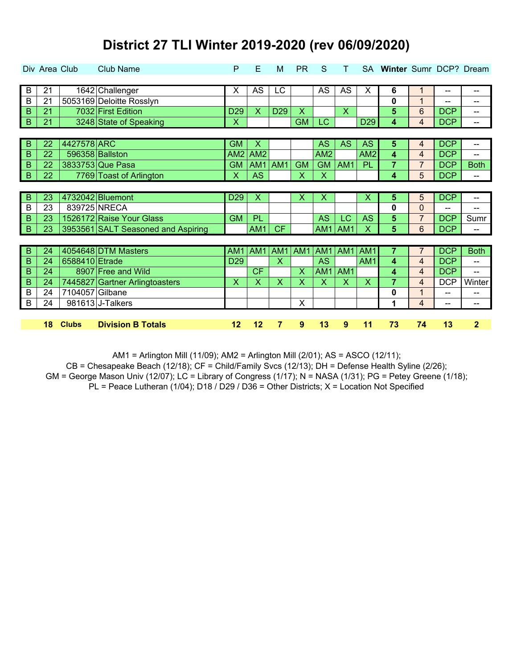|                | Div Area Club |                 | <b>Club Name</b>                   | P               | Е                         | M                       | <b>PR</b>                 | S               |                         |                 | SA Winter Sumr DCP? Dream |                |            |                |
|----------------|---------------|-----------------|------------------------------------|-----------------|---------------------------|-------------------------|---------------------------|-----------------|-------------------------|-----------------|---------------------------|----------------|------------|----------------|
| $\overline{B}$ | 21            |                 | 1642 Challenger                    | X               | <b>AS</b>                 | LC                      |                           | AS              | AS                      | х               | 6                         | 1              | --         | --             |
| B              | 21            |                 | 5053169 Deloitte Rosslyn           |                 |                           |                         |                           |                 |                         |                 | 0                         | 1              | --         | --             |
| B              | 21            |                 | 7032 First Edition                 | D <sub>29</sub> | $\boldsymbol{\mathsf{X}}$ | D <sub>29</sub>         | $\overline{\mathsf{X}}$   |                 | $\overline{\mathsf{X}}$ |                 | $5\phantom{.}$            | 6              | <b>DCP</b> | --             |
| $\overline{B}$ | 21            |                 | 3248 State of Speaking             | X               |                           |                         | <b>GM</b>                 | LC              |                         | D <sub>29</sub> | 4                         | $\overline{4}$ | <b>DCP</b> | --             |
|                |               |                 |                                    |                 |                           |                         |                           |                 |                         |                 |                           |                |            |                |
| B              | 22            | 4427578 ARC     |                                    | <b>GM</b>       | $\boldsymbol{\mathsf{X}}$ |                         |                           | <b>AS</b>       | <b>AS</b>               | <b>AS</b>       | 5                         | 4              | <b>DCP</b> | --             |
| B              | 22            |                 | 596358 Ballston                    | AM <sub>2</sub> | AM <sub>2</sub>           |                         |                           | AM <sub>2</sub> |                         | AM <sub>2</sub> | 4                         | $\overline{4}$ | <b>DCP</b> | --             |
| B              | 22            |                 | 3833753 Que Pasa                   | <b>GM</b>       | AM1                       | AM1                     | <b>GM</b>                 | <b>GM</b>       | AM <sub>1</sub>         | PL              | 7                         | $\overline{7}$ | <b>DCP</b> | <b>Both</b>    |
| $\overline{B}$ | 22            |                 | 7769 Toast of Arlington            | X               | <b>AS</b>                 |                         | $\boldsymbol{\mathsf{X}}$ | X               |                         |                 | 4                         | 5              | <b>DCP</b> | --             |
|                |               |                 |                                    |                 |                           |                         |                           |                 |                         |                 |                           |                |            |                |
| B              | 23            |                 | 4732042 Bluemont                   | D <sub>29</sub> | X                         |                         | Х                         | X               |                         | х               | 5                         | 5              | <b>DCP</b> | --             |
| B              | 23            |                 | 839725 NRECA                       |                 |                           |                         |                           |                 |                         |                 | 0                         | $\overline{0}$ | $-$        | $-$            |
| B              | 23            |                 | 1526172 Raise Your Glass           | <b>GM</b>       | <b>PL</b>                 |                         |                           | <b>AS</b>       | LC                      | <b>AS</b>       | 5                         | $\overline{7}$ | <b>DCP</b> | Sumr           |
| $\overline{B}$ | 23            |                 | 3953561 SALT Seasoned and Aspiring |                 | AM1                       | <b>CF</b>               |                           | AM1             | AM <sub>1</sub>         | Χ               | 5                         | 6              | <b>DCP</b> | --             |
|                |               |                 |                                    |                 |                           |                         |                           |                 |                         |                 |                           |                |            |                |
| $\overline{B}$ | 24            |                 | 4054648 DTM Masters                | AM <sub>1</sub> | AM1                       | AM <sub>1</sub>         | AM1                       | AM <sub>1</sub> | AM <sub>1</sub>         | AM <sub>1</sub> | 7                         | 7              | <b>DCP</b> | <b>Both</b>    |
| B              | 24            | 6588410 Etrade  |                                    | D <sub>29</sub> |                           | $\overline{\mathsf{X}}$ |                           | <b>AS</b>       |                         | AM <sub>1</sub> | 4                         | $\overline{4}$ | <b>DCP</b> | --             |
| B              | 24            |                 | 8907 Free and Wild                 |                 | <b>CF</b>                 |                         | X                         | AM1             | AM1                     |                 | 4                         | $\overline{4}$ | <b>DCP</b> | --             |
| B              | 24            |                 | 7445827 Gartner Arlingtoasters     | X               | X                         | X                       | X                         | X               | X                       | X               | $\overline{7}$            | 4              | <b>DCP</b> | Winter         |
| B              | 24            | 7104057 Gilbane |                                    |                 |                           |                         |                           |                 |                         |                 | 0                         | 1              | --         | --             |
| $\overline{B}$ | 24            |                 | 981613 J-Talkers                   |                 |                           |                         | X                         |                 |                         |                 | 1                         | $\overline{4}$ | --         | --             |
|                |               |                 |                                    |                 |                           |                         |                           |                 |                         |                 |                           |                |            |                |
|                | 18            | <b>Clubs</b>    | <b>Division B Totals</b>           | 12              | 12                        | 7                       | 9                         | 13              | 9                       | 11              | 73                        | 74             | 13         | $\overline{2}$ |

AM1 = Arlington Mill (11/09); AM2 = Arlington Mill (2/01); AS = ASCO (12/11);

GM = George Mason Univ (12/07); LC = Library of Congress (1/17); N = NASA (1/31); PG = Petey Greene (1/18);  $PL = Peace Lutheran (1/04); D18 / D29 / D36 = Other Districts; X = Location Not Specificed$  $CB =$  Chesapeake Beach (12/18);  $CF =$  Child/Family Svcs (12/13);  $DH =$  Defense Health Syline (2/26);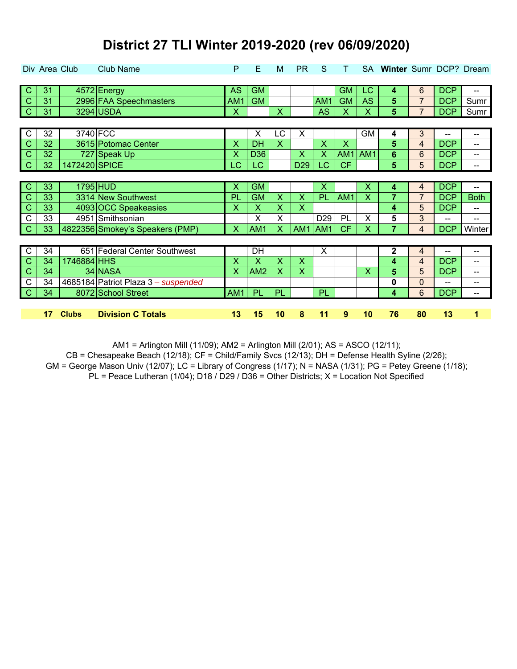| District 27 TLI Winter 2019-2020 (rev 06/09/2020) |  |
|---------------------------------------------------|--|
|                                                   |  |

|                            | Div Area Club |               | <b>Club Name</b>                    | P                         | E               | M                       | <b>PR</b>               | S                         |                           |           | SA Winter Sumr DCP? Dream |                |                          |                          |
|----------------------------|---------------|---------------|-------------------------------------|---------------------------|-----------------|-------------------------|-------------------------|---------------------------|---------------------------|-----------|---------------------------|----------------|--------------------------|--------------------------|
|                            |               |               |                                     |                           |                 |                         |                         |                           |                           |           |                           |                |                          |                          |
| C                          | 31            |               | 4572 Energy                         | <b>AS</b>                 | <b>GM</b>       |                         |                         |                           | <b>GM</b>                 | LC        | 4                         | 6              | <b>DCP</b>               | --                       |
| $\mathsf{C}$               | 31            |               | 2996 FAA Speechmasters              | AM1                       | <b>GM</b>       |                         |                         | AM1                       | <b>GM</b>                 | <b>AS</b> | 5                         | $\overline{7}$ | <b>DCP</b>               | Sumr                     |
| $\overline{\phantom{a}}$ C | 31            |               | 3294 USDA                           | $\boldsymbol{\mathsf{X}}$ |                 | $\overline{\mathsf{X}}$ |                         | <b>AS</b>                 | $\boldsymbol{\mathsf{X}}$ | X         | 5                         | $\overline{7}$ | <b>DCP</b>               | Sumr                     |
|                            |               |               |                                     |                           |                 |                         |                         |                           |                           |           |                           |                |                          |                          |
| $\overline{C}$             | 32            |               | 3740 FCC                            |                           | X               | LC                      | X                       |                           |                           | GМ        | 4                         | 3              | $\overline{\phantom{a}}$ | --                       |
| $\mathsf{C}$               | 32            |               | 3615 Potomac Center                 | x                         | <b>DH</b>       | $\overline{\mathsf{X}}$ |                         | $\overline{\mathsf{X}}$   | X                         |           | 5                         | $\overline{4}$ | <b>DCP</b>               | --                       |
| $\mathsf{C}$               | 32            |               | 727 Speak Up                        | X                         | D <sub>36</sub> |                         | X                       | X                         | AM1                       | AM1       | 6                         | 6              | <b>DCP</b>               | --                       |
| $\mathsf{C}$               | 32            | 1472420 SPICE |                                     | LC                        | <b>LC</b>       |                         | D <sub>29</sub>         | LC                        | <b>CF</b>                 |           | 5                         | 5              | <b>DCP</b>               | --                       |
|                            |               |               |                                     |                           |                 |                         |                         |                           |                           |           |                           |                |                          |                          |
| $\mathbf C$                | 33            |               | 1795 HUD                            | X                         | <b>GM</b>       |                         |                         | $\boldsymbol{\mathsf{X}}$ |                           | X         | 4                         | 4              | <b>DCP</b>               | $\overline{\phantom{a}}$ |
| $\mathsf{C}$               | 33            |               | 3314 New Southwest                  | PL                        | <b>GM</b>       | $\overline{\mathsf{X}}$ | $\overline{\mathsf{X}}$ | PL                        | AM1                       | X         | 7                         | $\overline{7}$ | <b>DCP</b>               | <b>Both</b>              |
| $\mathsf{C}$               | 33            |               | 4093 OCC Speakeasies                | $\boldsymbol{\mathsf{X}}$ | X               | x                       | $\overline{\mathsf{X}}$ |                           |                           |           | 4                         | 5              | <b>DCP</b>               | --                       |
| $\mathsf{C}$               | 33            |               | 4951 Smithsonian                    |                           | X               | Χ                       |                         | D <sub>29</sub>           | PL                        | X         | 5                         | 3              | --                       | --                       |
| $\mathcal{C}$              | 33            |               | 4822356 Smokey's Speakers (PMP)     | X                         | AM1             | Χ                       | AM1                     | AM <sub>1</sub>           | <b>CF</b>                 | Χ         |                           | $\overline{4}$ | <b>DCP</b>               | Winter                   |
|                            |               |               |                                     |                           |                 |                         |                         |                           |                           |           |                           |                |                          |                          |
| $\overline{C}$             | 34            |               | 651 Federal Center Southwest        |                           | DH              |                         |                         | X                         |                           |           | 2                         | 4              |                          | --                       |
| $\mathsf{C}$               | 34            | 1746884 HHS   |                                     | $\boldsymbol{\mathsf{X}}$ | X               | $\overline{\mathsf{X}}$ | $\overline{\mathsf{x}}$ |                           |                           |           | 4                         | $\overline{4}$ | <b>DCP</b>               | --                       |
| $\mathsf{C}$               | 34            |               | 34 NASA                             | X                         | AM <sub>2</sub> | X                       | X                       |                           |                           | X         | 5                         | 5              | <b>DCP</b>               | --                       |
| $\mathsf{C}$               | 34            |               | 4685184 Patriot Plaza 3 - suspended |                           |                 |                         |                         |                           |                           |           | $\mathbf 0$               | $\overline{0}$ | --                       | --                       |
| $\mathcal{C}$              | 34            |               | 8072 School Street                  | AM1                       | PL              | PL                      |                         | PL                        |                           |           | 4                         | 6              | <b>DCP</b>               | --                       |
|                            |               |               |                                     |                           |                 |                         |                         |                           |                           |           |                           |                |                          |                          |
|                            | 17            | <b>Clubs</b>  | <b>Division C Totals</b>            | 13                        | 15              | 10                      | 8                       | 11                        | 9                         | 10        | 76                        | 80             | 13                       | $\overline{\mathbf{1}}$  |

AM1 = Arlington Mill (11/09); AM2 = Arlington Mill (2/01); AS = ASCO (12/11);

CB = Chesapeake Beach (12/18); CF = Child/Family Svcs (12/13); DH = Defense Health Syline (2/26);

GM = George Mason Univ (12/07); LC = Library of Congress (1/17); N = NASA (1/31); PG = Petey Greene (1/18);

PL = Peace Lutheran (1/04); D18 / D29 / D36 = Other Districts; X = Location Not Specified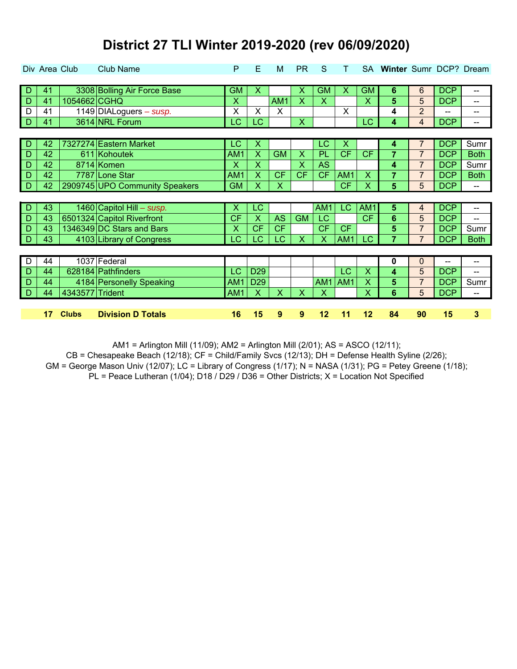|    |    | Div Area Club   | <b>Club Name</b>               | P               | E                         | M               | <b>PR</b>               | S                       |                 |                         | SA Winter Sumr DCP? Dream |                |            |             |
|----|----|-----------------|--------------------------------|-----------------|---------------------------|-----------------|-------------------------|-------------------------|-----------------|-------------------------|---------------------------|----------------|------------|-------------|
|    |    |                 |                                |                 |                           |                 |                         |                         |                 |                         |                           |                |            |             |
| D  | 41 |                 | 3308 Bolling Air Force Base    | <b>GM</b>       | X                         |                 | X                       | <b>GM</b>               | X               | <b>GM</b>               | 6                         | 6              | <b>DCP</b> | --          |
| D  | 41 | 1054662 CGHQ    |                                | X               |                           | AM <sub>1</sub> | $\overline{\mathsf{X}}$ | $\overline{\mathsf{X}}$ |                 | X                       | 5                         | 5              | <b>DCP</b> | --          |
| D  | 41 |                 | 1149 DIALoguers - susp.        | X               | $\times$                  | X               |                         |                         | X               |                         | 4                         | $\overline{2}$ | --         | --          |
| -D | 41 |                 | 3614 NRL Forum                 | <b>LC</b>       | LC                        |                 | $\overline{\mathsf{X}}$ |                         |                 | <b>LC</b>               | 4                         | $\overline{4}$ | <b>DCP</b> | --          |
|    |    |                 |                                |                 |                           |                 |                         |                         |                 |                         |                           |                |            |             |
| D  | 42 |                 | 7327274 Eastern Market         | LC              | X                         |                 |                         | LC                      | Х               |                         | 4                         | 7              | <b>DCP</b> | Sumr        |
| D  | 42 |                 | 611 Kohoutek                   | AM1             | X                         | <b>GM</b>       | $\overline{\mathsf{X}}$ | PL                      | <b>CF</b>       | <b>CF</b>               | $\overline{7}$            | $\overline{7}$ | <b>DCP</b> | <b>Both</b> |
| D  | 42 |                 | 8714 Komen                     | X               | $\boldsymbol{\mathsf{X}}$ |                 | X                       | <b>AS</b>               |                 |                         | 4                         | $\overline{7}$ | <b>DCP</b> | Sumr        |
| D  | 42 |                 | 7787 Lone Star                 | AM1             | $\overline{\mathsf{X}}$   | <b>CF</b>       | <b>CF</b>               | <b>CF</b>               | AM <sub>1</sub> | X                       | $\overline{7}$            | $\overline{7}$ | <b>DCP</b> | <b>Both</b> |
| D  | 42 |                 | 2909745 UPO Community Speakers | <b>GM</b>       | $\boldsymbol{\mathsf{X}}$ | X               |                         |                         | <b>CF</b>       | X                       | 5                         | 5              | <b>DCP</b> | --          |
|    |    |                 |                                |                 |                           |                 |                         |                         |                 |                         |                           |                |            |             |
|    |    |                 |                                |                 |                           |                 |                         |                         |                 |                         |                           |                |            |             |
| D  | 43 |                 | 1460 Capitol Hill - susp.      | х               | <b>LC</b>                 |                 |                         | AM1                     | LC.             | AM1                     | 5                         | 4              | <b>DCP</b> | --          |
| D  | 43 |                 | 6501324 Capitol Riverfront     | <b>CF</b>       | $\boldsymbol{\mathsf{X}}$ | <b>AS</b>       | <b>GM</b>               | LC                      |                 | <b>CF</b>               | 6                         | 5              | <b>DCP</b> | $-$         |
| D  | 43 |                 | 1346349 DC Stars and Bars      | X               | <b>CF</b>                 | <b>CF</b>       |                         | <b>CF</b>               | <b>CF</b>       |                         | 5                         | $\overline{7}$ | <b>DCP</b> | Sumr        |
| D  | 43 |                 | 4103 Library of Congress       | LC              | <b>LC</b>                 | LC              | $\overline{\mathsf{X}}$ | X                       | AM1             | LC                      | 7                         | $\overline{7}$ | <b>DCP</b> | <b>Both</b> |
|    |    |                 |                                |                 |                           |                 |                         |                         |                 |                         |                           |                |            |             |
| D  | 44 |                 | 1037 Federal                   |                 |                           |                 |                         |                         |                 |                         | 0                         | $\mathbf 0$    | --         | --          |
| D  | 44 |                 | 628184 Pathfinders             | LC              | D <sub>29</sub>           |                 |                         |                         | LC              | $\overline{\mathsf{X}}$ | 4                         | 5              | <b>DCP</b> | --          |
| D  | 44 |                 | 4184 Personelly Speaking       | AM <sub>1</sub> | D <sub>29</sub>           |                 |                         | AM1                     | AM1             | x                       | 5                         | $\overline{7}$ | <b>DCP</b> | Sumr        |
| D  | 44 | 4343577 Trident |                                | AM <sub>1</sub> | $\boldsymbol{\mathsf{X}}$ | X               | X                       | X                       |                 | x                       | 6                         | 5              | <b>DCP</b> | --          |
|    |    |                 |                                |                 |                           |                 |                         |                         |                 |                         |                           |                |            |             |

AM1 = Arlington Mill (11/09); AM2 = Arlington Mill (2/01); AS = ASCO (12/11);

CB = Chesapeake Beach (12/18); CF = Child/Family Svcs (12/13); DH = Defense Health Syline (2/26);

GM = George Mason Univ (12/07); LC = Library of Congress (1/17); N = NASA (1/31); PG = Petey Greene (1/18);

PL = Peace Lutheran (1/04); D18 / D29 / D36 = Other Districts; X = Location Not Specified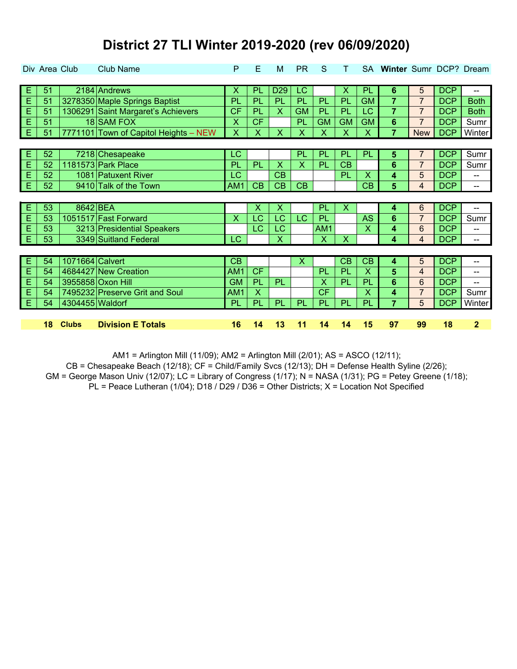|                | Div Area Club |                 | <b>Club Name</b>                      | P                         | E                         | M               | <b>PR</b>                 | S            |                           |                         | SA Winter Sumr DCP? Dream |                |            |                |
|----------------|---------------|-----------------|---------------------------------------|---------------------------|---------------------------|-----------------|---------------------------|--------------|---------------------------|-------------------------|---------------------------|----------------|------------|----------------|
|                |               |                 |                                       |                           |                           |                 |                           |              |                           |                         |                           |                |            |                |
| E              | 51            |                 | 2184 Andrews                          | х                         | PL                        | D <sub>29</sub> | LC                        |              | Х                         | PL                      | 6                         | 5              | <b>DCP</b> | --             |
| E              | 51            |                 | 3278350 Maple Springs Baptist         | PL                        | PL                        | PL              | PL                        | PL           | PL                        | <b>GM</b>               | $\overline{7}$            | $\overline{7}$ | <b>DCP</b> | <b>Both</b>    |
| E              | 51            |                 | 1306291 Saint Margaret's Achievers    | <b>CF</b>                 | PL                        | X               | <b>GM</b>                 | PL           | PL                        | LC                      | $\overline{7}$            | $\overline{7}$ | <b>DCP</b> | <b>Both</b>    |
| E              | 51            |                 | 18 SAM FOX                            | X                         | <b>CF</b>                 |                 | PL                        | <b>GM</b>    | <b>GM</b>                 | <b>GM</b>               | 6                         | $\overline{7}$ | <b>DCP</b> | Sumr           |
| Е              | 51            |                 | 7771101 Town of Capitol Heights - NEW | $\boldsymbol{\mathsf{X}}$ | $\mathsf{X}$              | X               | X                         | X            | $\mathsf{X}$              | X                       | $\overline{7}$            | <b>New</b>     | <b>DCP</b> | Winter         |
|                |               |                 |                                       |                           |                           |                 |                           |              |                           |                         |                           |                |            |                |
| E              | 52            |                 | 7218 Chesapeake                       | LC                        |                           |                 | PL                        | PL           | PL                        | PL                      | 5                         | $\overline{7}$ | <b>DCP</b> | Sumr           |
| E              | 52            |                 | 1181573 Park Place                    | PL                        | PL                        | X               | X                         | PL           | <b>CB</b>                 |                         | 6                         | $\overline{7}$ | <b>DCP</b> | Sumr           |
| E              | 52            |                 | 1081 Patuxent River                   | LC                        |                           | CB              |                           |              | PL                        | $\overline{\mathsf{X}}$ | 4                         | 5              | <b>DCP</b> | --             |
| E              | 52            |                 | 9410 Talk of the Town                 | AM1                       | CB                        | CB              | CB                        |              |                           | CB                      | 5                         | $\overline{4}$ | <b>DCP</b> | --             |
|                |               |                 |                                       |                           |                           |                 |                           |              |                           |                         |                           |                |            |                |
| $\overline{E}$ | 53            | 8642 BEA        |                                       |                           | $\boldsymbol{\mathsf{X}}$ | Х               |                           | <b>PL</b>    | $\boldsymbol{\mathsf{X}}$ |                         | 4                         | 6              | <b>DCP</b> | --             |
| E              | 53            |                 | 1051517 Fast Forward                  | $\overline{\mathsf{X}}$   | <b>LC</b>                 | LC              | LC                        | PL           |                           | <b>AS</b>               | 6                         | $\overline{7}$ | <b>DCP</b> | Sumr           |
| Ė              | 53            |                 | 3213 Presidential Speakers            |                           | <b>LC</b>                 | LC              |                           | AM1          |                           | X                       | 4                         | 6              | <b>DCP</b> | --             |
| E              | 53            |                 | 3349 Suitland Federal                 | <b>LC</b>                 |                           | X               |                           | $\mathsf{X}$ | $\mathsf{X}$              |                         | 4                         | $\overline{4}$ | <b>DCP</b> | --             |
|                |               |                 |                                       |                           |                           |                 |                           |              |                           |                         |                           |                |            |                |
| Е              | 54            | 1071664 Calvert |                                       | CB                        |                           |                 | $\boldsymbol{\mathsf{X}}$ |              | CB                        | CB                      | 4                         | 5              | <b>DCP</b> | --             |
| E              | 54            |                 | 4684427 New Creation                  | AM <sub>1</sub>           | <b>CF</b>                 |                 |                           | PL           | PL                        | X                       | 5                         | $\overline{4}$ | <b>DCP</b> | --             |
| E              | 54            |                 | 3955858 Oxon Hill                     | <b>GM</b>                 | PL                        | PL              |                           | X            | PL                        | PL                      | 6                         | 6              | <b>DCP</b> | --             |
| E              | 54            |                 | 7495232 Preserve Grit and Soul        | AM1                       | $\boldsymbol{\mathsf{X}}$ |                 |                           | <b>CF</b>    |                           | X                       | 4                         | $\overline{7}$ | <b>DCP</b> | Sumr           |
| E              | 54            | 4304455 Waldorf |                                       | PL                        | PL                        | PL              | PL                        | <b>PL</b>    | PL                        | PL                      | $\overline{7}$            | 5              | <b>DCP</b> | Winter         |
|                |               |                 |                                       |                           |                           |                 |                           |              |                           |                         |                           |                |            |                |
|                | 18            | <b>Clubs</b>    | <b>Division E Totals</b>              | 16                        | 14                        | 13              | 11                        | 14           | 14                        | 15                      | 97                        | 99             | 18         | $\overline{2}$ |

AM1 = Arlington Mill (11/09); AM2 = Arlington Mill (2/01); AS = ASCO (12/11);

GM = George Mason Univ (12/07); LC = Library of Congress (1/17); N = NASA (1/31); PG = Petey Greene (1/18);  $PL = Peace Lutheran (1/04); D18 / D29 / D36 = Other Districts; X = Location Not Specificed$  $CB =$  Chesapeake Beach (12/18);  $CF =$  Child/Family Svcs (12/13);  $DH =$  Defense Health Syline (2/26);